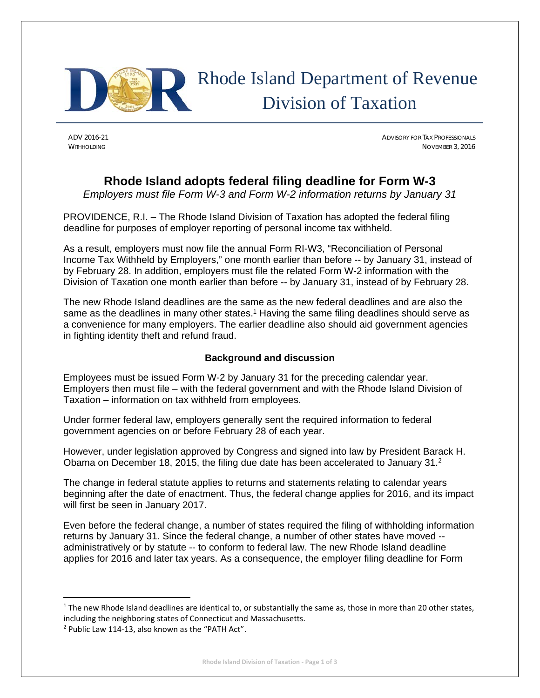

# Rhode Island Department of Revenue Division of Taxation

ADV 2016-21 ADVISORY FOR TAX PROFESSIONALS WITHHOLDING NOVEMBER 3, 2016

# **Rhode Island adopts federal filing deadline for Form W-3**

*Employers must file Form W-3 and Form W-2 information returns by January 31* 

PROVIDENCE, R.I. – The Rhode Island Division of Taxation has adopted the federal filing deadline for purposes of employer reporting of personal income tax withheld.

As a result, employers must now file the annual Form RI-W3, "Reconciliation of Personal Income Tax Withheld by Employers," one month earlier than before -- by January 31, instead of by February 28. In addition, employers must file the related Form W-2 information with the Division of Taxation one month earlier than before -- by January 31, instead of by February 28.

The new Rhode Island deadlines are the same as the new federal deadlines and are also the same as the deadlines in many other states.<sup>1</sup> Having the same filing deadlines should serve as a convenience for many employers. The earlier deadline also should aid government agencies in fighting identity theft and refund fraud.

## **Background and discussion**

Employees must be issued Form W-2 by January 31 for the preceding calendar year. Employers then must file – with the federal government and with the Rhode Island Division of Taxation – information on tax withheld from employees.

Under former federal law, employers generally sent the required information to federal government agencies on or before February 28 of each year.

However, under legislation approved by Congress and signed into law by President Barack H. Obama on December 18, 2015, the filing due date has been accelerated to January 31.<sup>2</sup>

The change in federal statute applies to returns and statements relating to calendar years beginning after the date of enactment. Thus, the federal change applies for 2016, and its impact will first be seen in January 2017.

Even before the federal change, a number of states required the filing of withholding information returns by January 31. Since the federal change, a number of other states have moved - administratively or by statute -- to conform to federal law. The new Rhode Island deadline applies for 2016 and later tax years. As a consequence, the employer filing deadline for Form

 $1$  The new Rhode Island deadlines are identical to, or substantially the same as, those in more than 20 other states, including the neighboring states of Connecticut and Massachusetts.

<sup>2</sup> Public Law 114‐13, also known as the "PATH Act".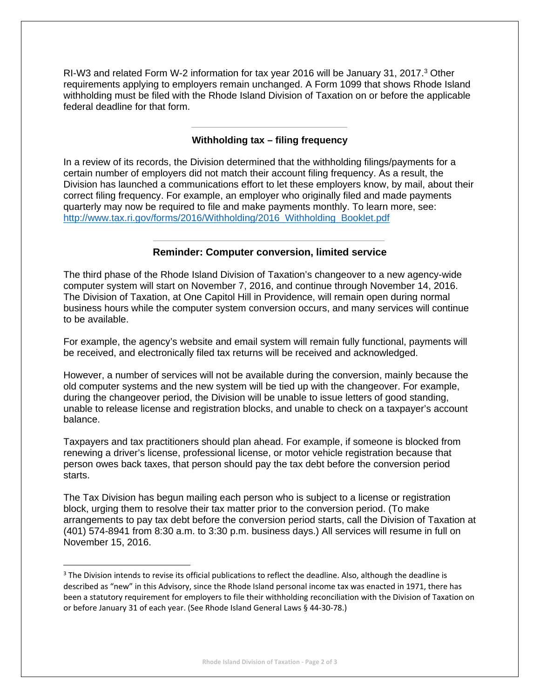RI-W3 and related Form W-2 information for tax year 2016 will be January 31, 2017.3 Other requirements applying to employers remain unchanged. A Form 1099 that shows Rhode Island withholding must be filed with the Rhode Island Division of Taxation on or before the applicable federal deadline for that form.

### **Withholding tax – filing frequency**

In a review of its records, the Division determined that the withholding filings/payments for a certain number of employers did not match their account filing frequency. As a result, the Division has launched a communications effort to let these employers know, by mail, about their correct filing frequency. For example, an employer who originally filed and made payments quarterly may now be required to file and make payments monthly. To learn more, see: http://www.tax.ri.gov/forms/2016/Withholding/2016\_Withholding\_Booklet.pdf

#### **Reminder: Computer conversion, limited service**

The third phase of the Rhode Island Division of Taxation's changeover to a new agency-wide computer system will start on November 7, 2016, and continue through November 14, 2016. The Division of Taxation, at One Capitol Hill in Providence, will remain open during normal business hours while the computer system conversion occurs, and many services will continue to be available.

For example, the agency's website and email system will remain fully functional, payments will be received, and electronically filed tax returns will be received and acknowledged.

However, a number of services will not be available during the conversion, mainly because the old computer systems and the new system will be tied up with the changeover. For example, during the changeover period, the Division will be unable to issue letters of good standing, unable to release license and registration blocks, and unable to check on a taxpayer's account balance.

Taxpayers and tax practitioners should plan ahead. For example, if someone is blocked from renewing a driver's license, professional license, or motor vehicle registration because that person owes back taxes, that person should pay the tax debt before the conversion period starts.

The Tax Division has begun mailing each person who is subject to a license or registration block, urging them to resolve their tax matter prior to the conversion period. (To make arrangements to pay tax debt before the conversion period starts, call the Division of Taxation at (401) 574-8941 from 8:30 a.m. to 3:30 p.m. business days.) All services will resume in full on November 15, 2016.

<sup>&</sup>lt;sup>3</sup> The Division intends to revise its official publications to reflect the deadline. Also, although the deadline is described as "new" in this Advisory, since the Rhode Island personal income tax was enacted in 1971, there has been a statutory requirement for employers to file their withholding reconciliation with the Division of Taxation on or before January 31 of each year. (See Rhode Island General Laws § 44‐30‐78.)